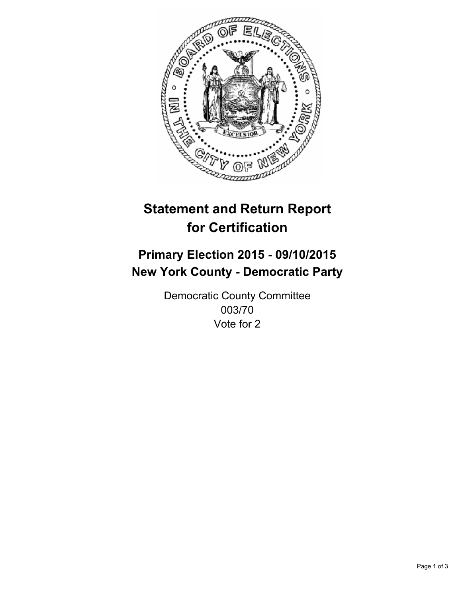

# **Statement and Return Report for Certification**

## **Primary Election 2015 - 09/10/2015 New York County - Democratic Party**

Democratic County Committee 003/70 Vote for 2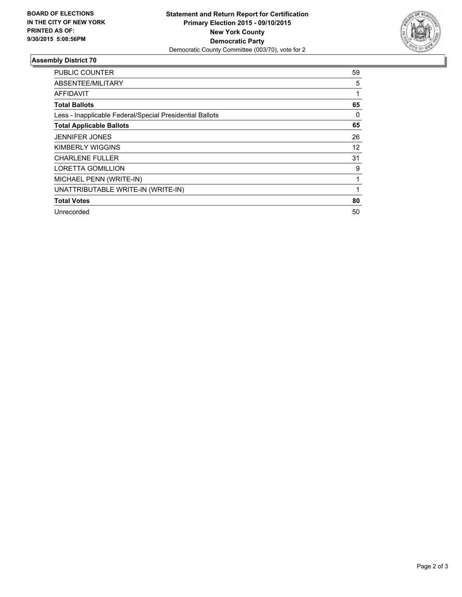

### **Assembly District 70**

| <b>PUBLIC COUNTER</b>                                    | 59 |
|----------------------------------------------------------|----|
| ABSENTEE/MILITARY                                        | 5  |
| AFFIDAVIT                                                |    |
| <b>Total Ballots</b>                                     | 65 |
| Less - Inapplicable Federal/Special Presidential Ballots | 0  |
| <b>Total Applicable Ballots</b>                          | 65 |
| <b>JENNIFER JONES</b>                                    | 26 |
| KIMBERLY WIGGINS                                         | 12 |
| <b>CHARLENE FULLER</b>                                   | 31 |
| <b>LORETTA GOMILLION</b>                                 | 9  |
| MICHAEL PENN (WRITE-IN)                                  | 1  |
| UNATTRIBUTABLE WRITE-IN (WRITE-IN)                       |    |
| <b>Total Votes</b>                                       | 80 |
| Unrecorded                                               | 50 |